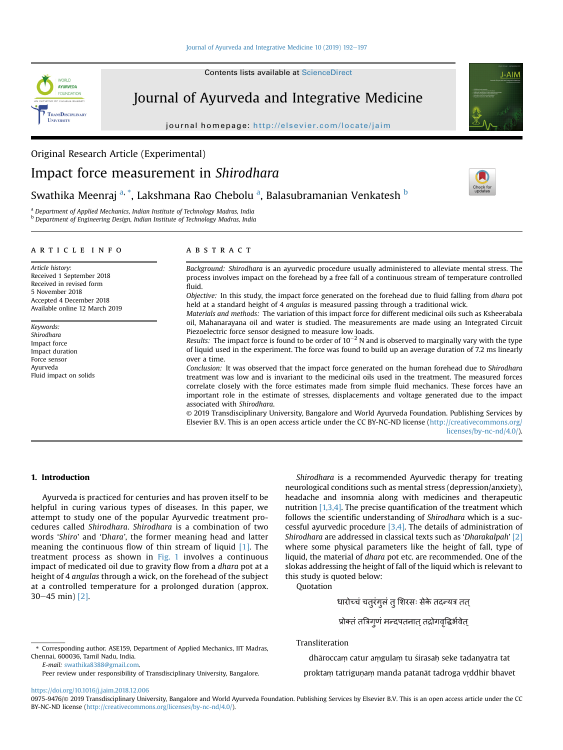# [Journal of Ayurveda and Integrative Medicine 10 \(2019\) 192](https://doi.org/10.1016/j.jaim.2018.12.006)-[197](https://doi.org/10.1016/j.jaim.2018.12.006)

Contents lists available at ScienceDirect

# Journal of Ayurveda and Integrative Medicine

journal homepage: <http://elsevier.com/locate/jaim>

# Original Research Article (Experimental)

# Impact force measurement in Shirodhara

Swathika Meenraj <sup>a, \*</sup>, Lakshmana Rao Chebolu <sup>a</sup>, Balasubramanian Venkatesh <sup>b</sup>

<sup>a</sup> Department of Applied Mechanics, Indian Institute of Technology Madras, India **b** Department of Engineering Design, Indian Institute of Technology Madras, India

# article info

Received 1 September 2018 Received in revised form 5 November 2018 Accepted 4 December 2018 Available online 12 March 2019

Article history:

Keywords: Shirodhara Impact force Impact duration Force sensor Ayurveda

# A B S T R A C T

Background: Shirodhara is an ayurvedic procedure usually administered to alleviate mental stress. The process involves impact on the forehead by a free fall of a continuous stream of temperature controlled fluid. Objective: In this study, the impact force generated on the forehead due to fluid falling from dhara pot

held at a standard height of 4 angulas is measured passing through a traditional wick.

Materials and methods: The variation of this impact force for different medicinal oils such as Ksheerabala oil, Mahanarayana oil and water is studied. The measurements are made using an Integrated Circuit Piezoelectric force sensor designed to measure low loads.

Results: The impact force is found to be order of  $10^{-2}$  N and is observed to marginally vary with the type of liquid used in the experiment. The force was found to build up an average duration of 7.2 ms linearly over a time.

Conclusion: It was observed that the impact force generated on the human forehead due to Shirodhara treatment was low and is invariant to the medicinal oils used in the treatment. The measured forces correlate closely with the force estimates made from simple fluid mechanics. These forces have an important role in the estimate of stresses, displacements and voltage generated due to the impact associated with Shirodhara.

© 2019 Transdisciplinary University, Bangalore and World Ayurveda Foundation. Publishing Services by Elsevier B.V. This is an open access article under the CC BY-NC-ND license ([http://creativecommons.org/](http://creativecommons.org/licenses/by-nc-nd/4.0/) [licenses/by-nc-nd/4.0/](http://creativecommons.org/licenses/by-nc-nd/4.0/)).

# 1. Introduction

Fluid impact on solids

Ayurveda is practiced for centuries and has proven itself to be helpful in curing various types of diseases. In this paper, we attempt to study one of the popular Ayurvedic treatment procedures called Shirodhara. Shirodhara is a combination of two words 'Shiro' and 'Dhara', the former meaning head and latter meaning the continuous flow of thin stream of liquid [\[1\]](#page-4-0). The treatment process as shown in [Fig. 1](#page-1-0) involves a continuous impact of medicated oil due to gravity flow from a dhara pot at a height of 4 angulas through a wick, on the forehead of the subject at a controlled temperature for a prolonged duration (approx.  $30 - 45$  min)  $[2]$ .

\* Corresponding author. ASE159, Department of Applied Mechanics, IIT Madras,

Peer review under responsibility of Transdisciplinary University, Bangalore.

Shirodhara is a recommended Ayurvedic therapy for treating neurological conditions such as mental stress (depression/anxiety), headache and insomnia along with medicines and therapeutic nutrition [\[1,3,4\]](#page-4-0). The precise quantification of the treatment which follows the scientific understanding of Shirodhara which is a successful ayurvedic procedure  $[3,4]$ . The details of administration of Shirodhara are addressed in classical texts such as 'Dharakalpah' [\[2\]](#page-4-0) where some physical parameters like the height of fall, type of liquid, the material of dhara pot etc. are recommended. One of the slokas addressing the height of fall of the liquid which is relevant to this study is quoted below:

Quotation

धारोच्चं चतुरंगुलं तु शिरसः सेके तदन्यत्र तत्

प्रोक्तं तत्रिगुणं मन्दपतनात् तद्रोगवृद्धिर्भवेत्

Transliteration

dhāroccam catur amgulam tu śirasah seke tadanyatra tat

proktam tatrigunam manda patanāt tadroga vrddhir bhavet

<https://doi.org/10.1016/j.jaim.2018.12.006>

Chennai, 600036, Tamil Nadu, India. E-mail: [swathika8388@gmail.com](mailto:swathika8388@gmail.com).









<sup>0975-9476/© 2019</sup> Transdisciplinary University, Bangalore and World Ayurveda Foundation. Publishing Services by Elsevier B.V. This is an open access article under the CC BY-NC-ND license ([http://creativecommons.org/licenses/by-nc-nd/4.0/\)](http://creativecommons.org/licenses/by-nc-nd/4.0/).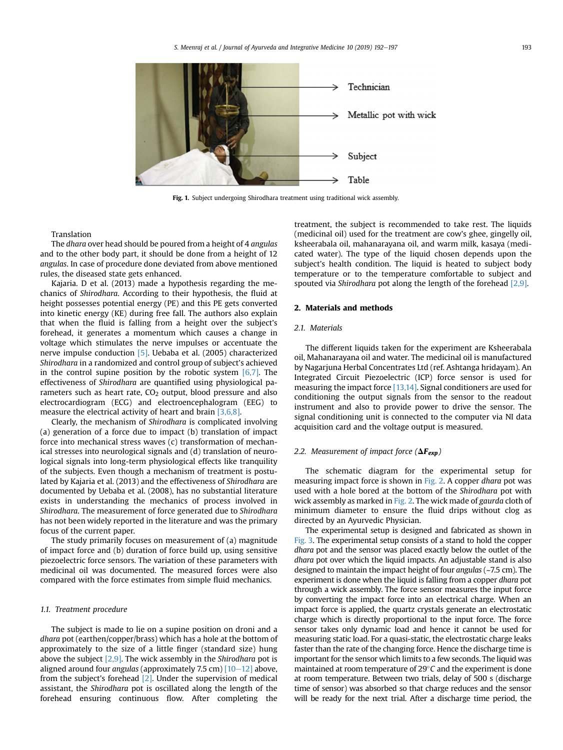<span id="page-1-0"></span>

Fig. 1. Subject undergoing Shirodhara treatment using traditional wick assembly.

Translation

The dhara over head should be poured from a height of 4 angulas and to the other body part, it should be done from a height of 12 angulas. In case of procedure done deviated from above mentioned rules, the diseased state gets enhanced.

Kajaria. D et al. (2013) made a hypothesis regarding the mechanics of Shirodhara. According to their hypothesis, the fluid at height possesses potential energy (PE) and this PE gets converted into kinetic energy (KE) during free fall. The authors also explain that when the fluid is falling from a height over the subject's forehead, it generates a momentum which causes a change in voltage which stimulates the nerve impulses or accentuate the nerve impulse conduction [\[5\]](#page-4-0). Uebaba et al. (2005) characterized Shirodhara in a randomized and control group of subject's achieved in the control supine position by the robotic system  $[6,7]$ . The effectiveness of Shirodhara are quantified using physiological parameters such as heart rate,  $CO<sub>2</sub>$  output, blood pressure and also electrocardiogram (ECG) and electroencephalogram (EEG) to measure the electrical activity of heart and brain [\[3,6,8\].](#page-4-0)

Clearly, the mechanism of Shirodhara is complicated involving (a) generation of a force due to impact (b) translation of impact force into mechanical stress waves (c) transformation of mechanical stresses into neurological signals and (d) translation of neurological signals into long-term physiological effects like tranquility of the subjects. Even though a mechanism of treatment is postulated by Kajaria et al. (2013) and the effectiveness of Shirodhara are documented by Uebaba et al. (2008), has no substantial literature exists in understanding the mechanics of process involved in Shirodhara. The measurement of force generated due to Shirodhara has not been widely reported in the literature and was the primary focus of the current paper.

The study primarily focuses on measurement of (a) magnitude of impact force and (b) duration of force build up, using sensitive piezoelectric force sensors. The variation of these parameters with medicinal oil was documented. The measured forces were also compared with the force estimates from simple fluid mechanics.

#### 1.1. Treatment procedure

The subject is made to lie on a supine position on droni and a dhara pot (earthen/copper/brass) which has a hole at the bottom of approximately to the size of a little finger (standard size) hung above the subject  $[2,9]$ . The wick assembly in the Shirodhara pot is aligned around four *angulas* (approximately 7.5 cm)  $[10-12]$  $[10-12]$  $[10-12]$  above, from the subject's forehead [\[2\].](#page-4-0) Under the supervision of medical assistant, the Shirodhara pot is oscillated along the length of the forehead ensuring continuous flow. After completing the

treatment, the subject is recommended to take rest. The liquids (medicinal oil) used for the treatment are cow's ghee, gingelly oil, ksheerabala oil, mahanarayana oil, and warm milk, kasaya (medicated water). The type of the liquid chosen depends upon the subject's health condition. The liquid is heated to subject body temperature or to the temperature comfortable to subject and spouted via Shirodhara pot along the length of the forehead [\[2,9\].](#page-4-0)

# 2. Materials and methods

#### 2.1. Materials

The different liquids taken for the experiment are Ksheerabala oil, Mahanarayana oil and water. The medicinal oil is manufactured by Nagarjuna Herbal Concentrates Ltd (ref. Ashtanga hridayam). An Integrated Circuit Piezoelectric (ICP) force sensor is used for measuring the impact force [\[13,14\]](#page-5-0). Signal conditioners are used for conditioning the output signals from the sensor to the readout instrument and also to provide power to drive the sensor. The signal conditioning unit is connected to the computer via NI data acquisition card and the voltage output is measured.

# 2.2. Measurement of impact force  $(\Delta F_{exp})$

The schematic diagram for the experimental setup for measuring impact force is shown in [Fig. 2](#page-2-0). A copper dhara pot was used with a hole bored at the bottom of the Shirodhara pot with wick assembly as marked in [Fig. 2.](#page-2-0) The wick made of gaurda cloth of minimum diameter to ensure the fluid drips without clog as directed by an Ayurvedic Physician.

The experimental setup is designed and fabricated as shown in [Fig. 3.](#page-2-0) The experimental setup consists of a stand to hold the copper dhara pot and the sensor was placed exactly below the outlet of the dhara pot over which the liquid impacts. An adjustable stand is also designed to maintain the impact height of four angulas (~7.5 cm). The experiment is done when the liquid is falling from a copper dhara pot through a wick assembly. The force sensor measures the input force by converting the impact force into an electrical charge. When an impact force is applied, the quartz crystals generate an electrostatic charge which is directly proportional to the input force. The force sensor takes only dynamic load and hence it cannot be used for measuring static load. For a quasi-static, the electrostatic charge leaks faster than the rate of the changing force. Hence the discharge time is important for the sensor which limits to a few seconds. The liquid was maintained at room temperature of  $29^{\circ}$ C and the experiment is done at room temperature. Between two trials, delay of 500 s (discharge time of sensor) was absorbed so that charge reduces and the sensor will be ready for the next trial. After a discharge time period, the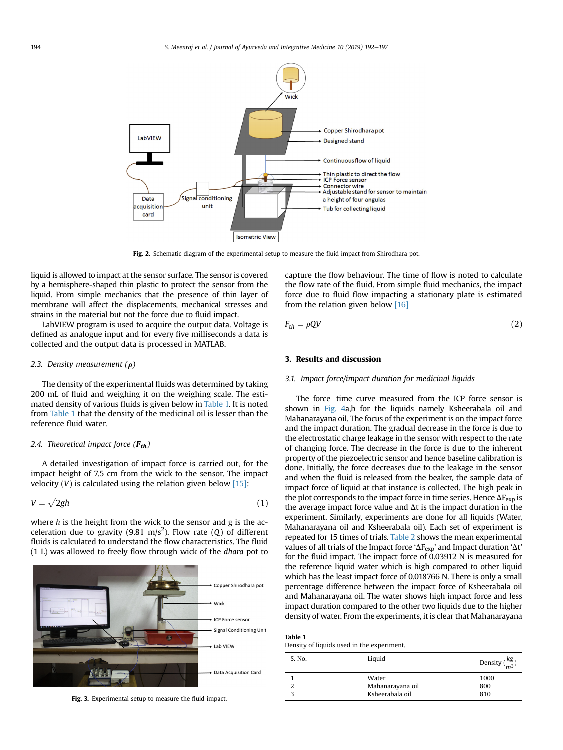<span id="page-2-0"></span>

Fig. 2. Schematic diagram of the experimental setup to measure the fluid impact from Shirodhara pot.

liquid is allowed to impact at the sensor surface. The sensor is covered by a hemisphere-shaped thin plastic to protect the sensor from the liquid. From simple mechanics that the presence of thin layer of membrane will affect the displacements, mechanical stresses and strains in the material but not the force due to fluid impact.

LabVIEW program is used to acquire the output data. Voltage is defined as analogue input and for every five milliseconds a data is collected and the output data is processed in MATLAB.

# 2.3. Density measurement  $(\rho)$

The density of the experimental fluids was determined by taking 200 mL of fluid and weighing it on the weighing scale. The estimated density of various fluids is given below in Table 1. It is noted from Table 1 that the density of the medicinal oil is lesser than the reference fluid water.

## 2.4. Theoretical impact force  $(F_{th})$

A detailed investigation of impact force is carried out, for the impact height of 7.5 cm from the wick to the sensor. The impact velocity  $(V)$  is calculated using the relation given below [\[15\]](#page-5-0):

$$
V = \sqrt{2gh} \tag{1}
$$

where  $h$  is the height from the wick to the sensor and g is the acceleration due to gravity (9.81 m/s<sup>2</sup>). Flow rate (Q) of different fluids is calculated to understand the flow characteristics. The fluid (1 L) was allowed to freely flow through wick of the dhara pot to



Fig. 3. Experimental setup to measure the fluid impact.

capture the flow behaviour. The time of flow is noted to calculate the flow rate of the fluid. From simple fluid mechanics, the impact force due to fluid flow impacting a stationary plate is estimated from the relation given below [\[16\]](#page-5-0)

$$
F_{th} = \rho Q V \tag{2}
$$

#### 3. Results and discussion

# 3.1. Impact force/impact duration for medicinal liquids

The force-time curve measured from the ICP force sensor is shown in [Fig. 4a](#page-3-0),b for the liquids namely Ksheerabala oil and Mahanarayana oil. The focus of the experiment is on the impact force and the impact duration. The gradual decrease in the force is due to the electrostatic charge leakage in the sensor with respect to the rate of changing force. The decrease in the force is due to the inherent property of the piezoelectric sensor and hence baseline calibration is done. Initially, the force decreases due to the leakage in the sensor and when the fluid is released from the beaker, the sample data of impact force of liquid at that instance is collected. The high peak in the plot corresponds to the impact force in time series. Hence  $\Delta F_{exp}$  is the average impact force value and  $\Delta t$  is the impact duration in the experiment. Similarly, experiments are done for all liquids (Water, Mahanarayana oil and Ksheerabala oil). Each set of experiment is repeated for 15 times of trials. [Table 2](#page-3-0) shows the mean experimental values of all trials of the Impact force ' $\Delta F_{exp}$ ' and Impact duration ' $\Delta t$ ' for the fluid impact. The impact force of 0.03912 N is measured for the reference liquid water which is high compared to other liquid which has the least impact force of 0.018766 N. There is only a small percentage difference between the impact force of Ksheerabala oil and Mahanarayana oil. The water shows high impact force and less impact duration compared to the other two liquids due to the higher density of water. From the experiments, it is clear that Mahanarayana

## Table 1

Density of liquids used in the experiment.

| S. No. | Liquid           | Density $(\frac{kg}{m^3})$ |
|--------|------------------|----------------------------|
|        | Water            | 1000                       |
|        | Mahanarayana oil | 800                        |
|        | Ksheerabala oil  | 810                        |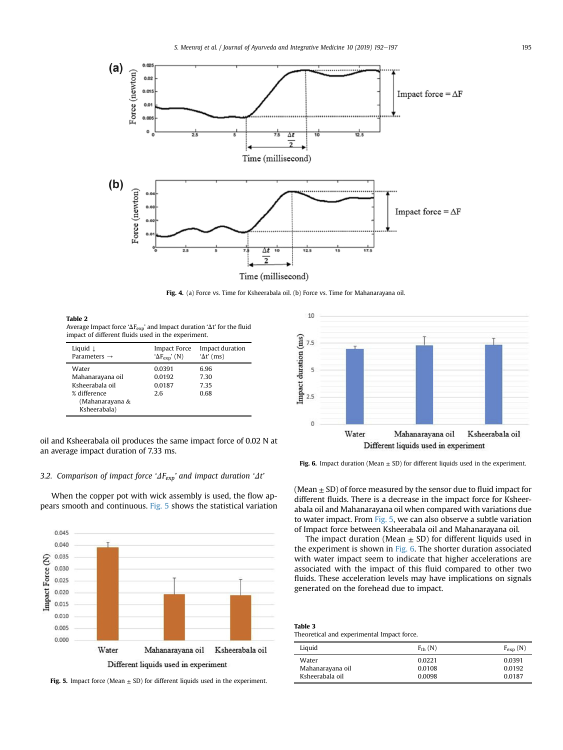<span id="page-3-0"></span>

Fig. 4. (a) Force vs. Time for Ksheerabala oil. (b) Force vs. Time for Mahanarayana oil.

#### Table 2 Average Impact force ' $\Delta F_{\text{exo}}$ ' and Impact duration ' $\Delta t$ ' for the fluid impact of different fluids used in the experiment.

| Liquid 1                                                                                        | <b>Impact Force</b>              | Impact duration             |
|-------------------------------------------------------------------------------------------------|----------------------------------|-----------------------------|
| Parameters $\rightarrow$                                                                        | ' $\Delta F_{\rm exp}$ ' (N)     | ' $\Delta t$ ' (ms)         |
| Water<br>Mahanarayana oil<br>Ksheerabala oil<br>% difference<br>(Mahanarayana &<br>Ksheerabala) | 0.0391<br>0.0192<br>0.0187<br>26 | 6.96<br>7.30<br>735<br>0.68 |

oil and Ksheerabala oil produces the same impact force of 0.02 N at an average impact duration of 7.33 ms.

# 3.2. Comparison of impact force ' $\Delta F_{exp}$ ' and impact duration ' $\Delta t$ '

When the copper pot with wick assembly is used, the flow appears smooth and continuous. Fig. 5 shows the statistical variation



Fig. 5. Impact force (Mean  $\pm$  SD) for different liquids used in the experiment.



Fig. 6. Impact duration (Mean  $\pm$  SD) for different liquids used in the experiment.

(Mean  $\pm$  SD) of force measured by the sensor due to fluid impact for different fluids. There is a decrease in the impact force for Ksheerabala oil and Mahanarayana oil when compared with variations due to water impact. From Fig. 5, we can also observe a subtle variation of Impact force between Ksheerabala oil and Mahanarayana oil.

The impact duration (Mean  $\pm$  SD) for different liquids used in the experiment is shown in Fig. 6. The shorter duration associated with water impact seem to indicate that higher accelerations are associated with the impact of this fluid compared to other two fluids. These acceleration levels may have implications on signals generated on the forehead due to impact.

| Table 3                                    |  |
|--------------------------------------------|--|
| Theoretical and experimental Impact force. |  |

| Liquid           | $F_{th}$ (N) | $F_{\text{exp}}(N)$ |
|------------------|--------------|---------------------|
| Water            | 0.0221       | 0.0391              |
| Mahanarayana oil | 0.0108       | 0.0192              |
| Ksheerabala oil  | 0.0098       | 0.0187              |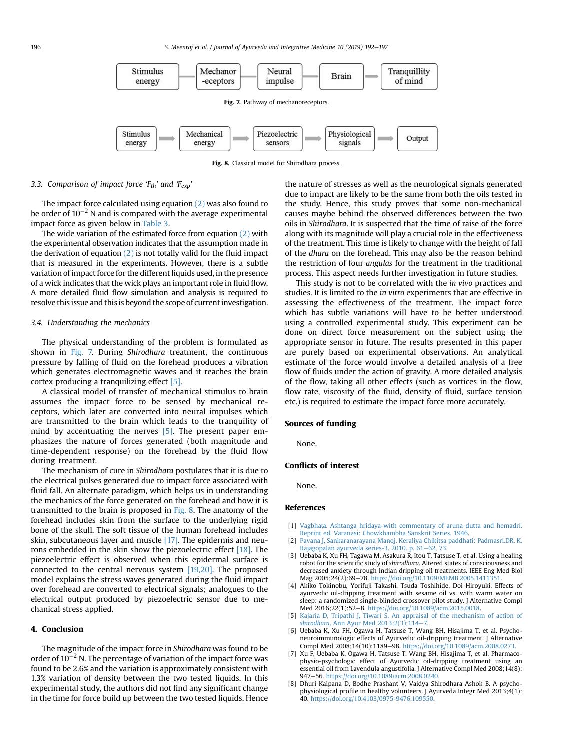<span id="page-4-0"></span>

# 3.3. Comparison of impact force ' $F_{th}$ ' and ' $F_{exp}$ '

The impact force calculated using equation [\(2\)](#page-2-0) was also found to be order of  $10^{-2}$  N and is compared with the average experimental impact force as given below in [Table 3](#page-3-0).

The wide variation of the estimated force from equation  $(2)$  with the experimental observation indicates that the assumption made in the derivation of equation  $(2)$  is not totally valid for the fluid impact that is measured in the experiments. However, there is a subtle variation of impact force for the different liquids used, in the presence of a wick indicates that the wick plays an important role in fluid flow. A more detailed fluid flow simulation and analysis is required to resolve this issue and this is beyond the scope of current investigation.

# 3.4. Understanding the mechanics

The physical understanding of the problem is formulated as shown in Fig. 7. During Shirodhara treatment, the continuous pressure by falling of fluid on the forehead produces a vibration which generates electromagnetic waves and it reaches the brain cortex producing a tranquilizing effect [5].

A classical model of transfer of mechanical stimulus to brain assumes the impact force to be sensed by mechanical receptors, which later are converted into neural impulses which are transmitted to the brain which leads to the tranquility of mind by accentuating the nerves  $[5]$ . The present paper emphasizes the nature of forces generated (both magnitude and time-dependent response) on the forehead by the fluid flow during treatment.

The mechanism of cure in Shirodhara postulates that it is due to the electrical pulses generated due to impact force associated with fluid fall. An alternate paradigm, which helps us in understanding the mechanics of the force generated on the forehead and how it is transmitted to the brain is proposed in Fig. 8. The anatomy of the forehead includes skin from the surface to the underlying rigid bone of the skull. The soft tissue of the human forehead includes skin, subcutaneous layer and muscle [\[17\].](#page-5-0) The epidermis and neurons embedded in the skin show the piezoelectric effect [\[18\]](#page-5-0). The piezoelectric effect is observed when this epidermal surface is connected to the central nervous system [\[19,20\].](#page-5-0) The proposed model explains the stress waves generated during the fluid impact over forehead are converted to electrical signals; analogues to the electrical output produced by piezoelectric sensor due to mechanical stress applied.

#### 4. Conclusion

The magnitude of the impact force in Shirodhara was found to be order of  $10^{-2}$  N. The percentage of variation of the impact force was found to be 2.6% and the variation is approximately consistent with 1.3% variation of density between the two tested liquids. In this experimental study, the authors did not find any significant change in the time for force build up between the two tested liquids. Hence the nature of stresses as well as the neurological signals generated due to impact are likely to be the same from both the oils tested in the study. Hence, this study proves that some non-mechanical causes maybe behind the observed differences between the two oils in Shirodhara. It is suspected that the time of raise of the force along with its magnitude will play a crucial role in the effectiveness of the treatment. This time is likely to change with the height of fall of the dhara on the forehead. This may also be the reason behind the restriction of four angulas for the treatment in the traditional process. This aspect needs further investigation in future studies.

This study is not to be correlated with the *in vivo* practices and studies. It is limited to the in vitro experiments that are effective in assessing the effectiveness of the treatment. The impact force which has subtle variations will have to be better understood using a controlled experimental study. This experiment can be done on direct force measurement on the subject using the appropriate sensor in future. The results presented in this paper are purely based on experimental observations. An analytical estimate of the force would involve a detailed analysis of a free flow of fluids under the action of gravity. A more detailed analysis of the flow, taking all other effects (such as vortices in the flow, flow rate, viscosity of the fluid, density of fluid, surface tension etc.) is required to estimate the impact force more accurately.

# Sources of funding

None.

## Conflicts of interest

None.

## References

- [1] Vagbhaṭ[a. Ashtanga hridaya-with commentary of aruna dutta and hemadri.](http://refhub.elsevier.com/S0975-9476(18)30794-0/sref1) [Reprint ed. Varanasi: Chowkhambha Sanskrit Series. 1946](http://refhub.elsevier.com/S0975-9476(18)30794-0/sref1).
- [2] [Pavana J, Sankaranarayana Manoj. Keraliya Chikitsa paddhati: Padmasri.DR. K.](http://refhub.elsevier.com/S0975-9476(18)30794-0/sref2) [Rajagopalan ayurveda series-3. 2010. p. 61](http://refhub.elsevier.com/S0975-9476(18)30794-0/sref2)e[62, 73](http://refhub.elsevier.com/S0975-9476(18)30794-0/sref2).
- [3] Uebaba K, Xu FH, Tagawa M, Asakura R, Itou T, Tatsuse T, et al. Using a healing robot for the scientific study of shirodhara. Altered states of consciousness and decreased anxiety through Indian dripping oil treatments. IEEE Eng Med Biol Mag 2005;24(2):69-78. <https://doi.org/10.1109/MEMB.2005.1411351>
- [4] Akiko Tokinobu, Yorifuji Takashi, Tsuda Toshihide, Doi Hiroyuki. Effects of ayurvedic oil-dripping treatment with sesame oil vs. with warm water on sleep: a randomized single-blinded crossover pilot study. J Alternative Compl Med 2016;22(1):52-8. [https://doi.org/10.1089/acm.2015.0018.](https://doi.org/10.1089/acm.2015.0018)
- [5] [Kajaria D, Tripathi J, Tiwari S. An appraisal of the mechanism of action of](http://refhub.elsevier.com/S0975-9476(18)30794-0/sref5) shirodhara[. Ann Ayur Med 2013;2\(3\):114](http://refhub.elsevier.com/S0975-9476(18)30794-0/sref5)-[7](http://refhub.elsevier.com/S0975-9476(18)30794-0/sref5).
- [6] Uebaba K, Xu FH, Ogawa H, Tatsuse T, Wang BH, Hisajima T, et al. Psychoneuroimmunologic effects of Ayurvedic oil-dripping treatment. J Alternative Compl Med 2008;14(10):1189-98. [https://doi.org/10.1089/acm.2008.0273.](https://doi.org/10.1089/acm.2008.0273)
- [7] Xu F, Uebaba K, Ogawa H, Tatsuse T, Wang BH, Hisajima T, et al. Pharmacophysio-psychologic effect of Ayurvedic oil-dripping treatment using an essential oil from Lavendula angustifolia. J Alternative Compl Med 2008;14(8): 947-56. [https://doi.org/10.1089/acm.2008.0240.](https://doi.org/10.1089/acm.2008.0240)
- [8] Dhuri Kalpana D, Bodhe Prashant V, Vaidya Shirodhara Ashok B. A psychophysiological profile in healthy volunteers. J Ayurveda Integr Med 2013;4(1): 40. [https://doi.org/10.4103/0975-9476.109550.](https://doi.org/10.4103/0975-9476.109550)